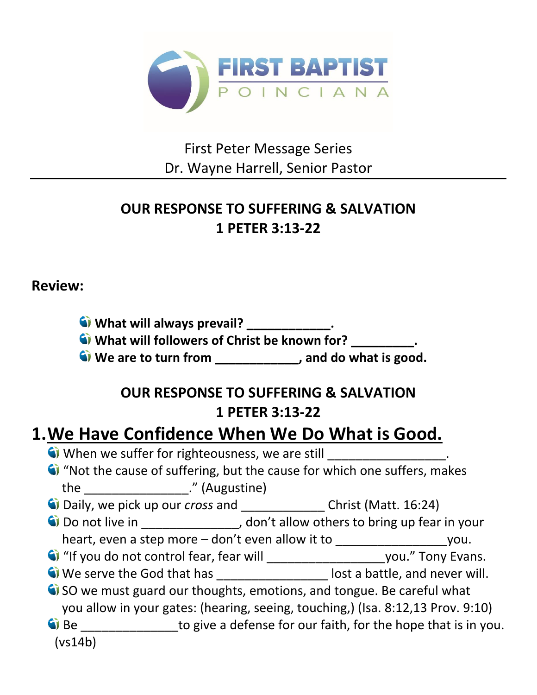

First Peter Message Series Dr. Wayne Harrell, Senior Pastor

### **OUR RESPONSE TO SUFFERING & SALVATION 1 PETER 3:13-22**

#### **Review:**

**What will always prevail?** \_\_\_\_\_\_\_\_\_\_\_\_.

**What will followers of Christ be known for? \_\_\_\_\_\_\_\_\_.** 

**We are to turn from \_\_\_\_\_\_\_\_\_\_\_\_, and do what is good.** 

### **OUR RESPONSE TO SUFFERING & SALVATION 1 PETER 3:13-22**

## **1.We Have Confidence When We Do What is Good.**

- When we suffer for righteousness, we are still
- "Not the cause of suffering, but the cause for which one suffers, makes the \_\_\_\_\_\_\_\_\_\_\_\_\_\_\_." (Augustine)
- Daily, we pick up our *cross* and \_\_\_\_\_\_\_\_\_\_\_\_ Christ (Matt. 16:24)
- Do not live in \_\_\_\_\_\_\_\_\_\_\_\_\_\_, don't allow others to bring up fear in your
	- heart, even a step more don't even allow it to \_\_\_\_\_\_\_\_\_\_\_\_\_\_\_\_\_\_\_\_\_\_you.
- "If you do not control fear, fear will \_\_\_\_\_\_\_\_\_\_\_\_\_\_\_\_\_you." Tony Evans.
- We serve the God that has \_\_\_\_\_\_\_\_\_\_\_\_\_\_\_\_\_\_\_\_ lost a battle, and never will.
- G SO we must guard our thoughts, emotions, and tongue. Be careful what you allow in your gates: (hearing, seeing, touching,) (Isa. 8:12,13 Prov. 9:10)
- Be \_\_\_\_\_\_\_\_\_\_\_\_\_\_to give a defense for our faith, for the hope that is in you. (vs14b)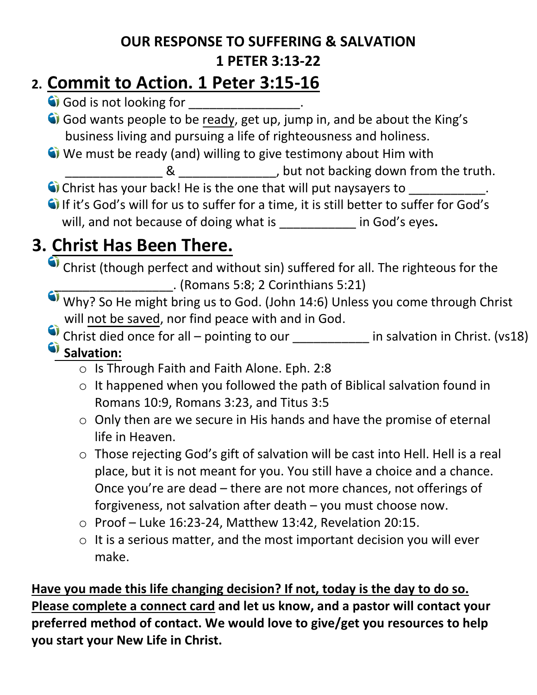#### **OUR RESPONSE TO SUFFERING & SALVATION 1 PETER 3:13-22**

## **2. Commit to Action. 1 Peter 3:15-16**

God is not looking for \_\_\_\_\_\_\_\_\_\_\_\_\_\_.

God wants people to be ready, get up, jump in, and be about the King's business living and pursuing a life of righteousness and holiness.

- We must be ready (and) willing to give testimony about Him with
	- **EXADEL AS ALL AS ALL ASSEM** CONSTRAINS AND THE SET UP A LIMIT ON  $\mathbb{R}$  and  $\mathbb{R}$  but not backing down from the truth.
- Christ has your back! He is the one that will put naysayers to  $\blacksquare$
- If it's God's will for us to suffer for a time, it is still better to suffer for God's will, and not because of doing what is **a container in God's eyes.**

# **3. Christ Has Been There.**

- Christ (though perfect and without sin) suffered for all. The righteous for the \_\_\_\_\_\_\_\_\_\_\_\_\_\_\_\_\_. (Romans 5:8; 2 Corinthians 5:21)
- Why? So He might bring us to God. (John 14:6) Unless you come through Christ will not be saved, nor find peace with and in God.
- Christ died once for all pointing to our \_\_\_\_\_\_\_\_\_\_\_\_ in salvation in Christ. (vs18)  $\bullet$  **Salvation:** 
	- o Is Through Faith and Faith Alone. Eph. 2:8
	- o It happened when you followed the path of Biblical salvation found in Romans 10:9, Romans 3:23, and Titus 3:5
	- o Only then are we secure in His hands and have the promise of eternal life in Heaven.
	- o Those rejecting God's gift of salvation will be cast into Hell. Hell is a real place, but it is not meant for you. You still have a choice and a chance. Once you're are dead – there are not more chances, not offerings of forgiveness, not salvation after death – you must choose now.
	- o Proof Luke 16:23-24, Matthew 13:42, Revelation 20:15.
	- $\circ$  It is a serious matter, and the most important decision you will ever make.

**Have you made this life changing decision? If not, today is the day to do so. Please complete a connect card and let us know, and a pastor will contact your preferred method of contact. We would love to give/get you resources to help you start your New Life in Christ.**